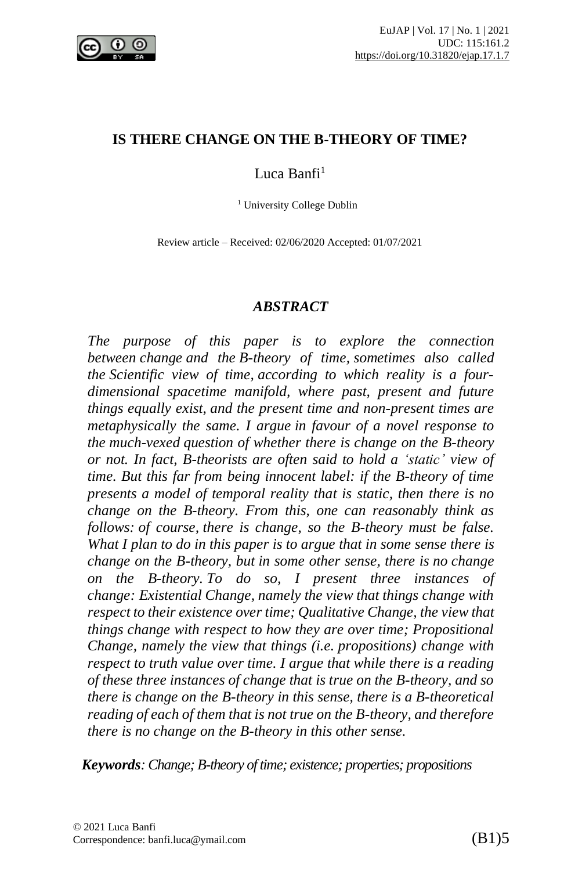

#### **IS THERE CHANGE ON THE B-THEORY OF TIME?**

### Luca Banfi<sup>1</sup>

<sup>1</sup> University College Dublin

Review article – Received: 02/06/2020 Accepted: 01/07/2021

#### *ABSTRACT*

*The purpose of this paper is to explore the connection between change and the B-theory of time, sometimes also called the Scientific view of time, according to which reality is a fourdimensional spacetime manifold, where past, present and future things equally exist, and the present time and non-present times are metaphysically the same. I argue in favour of a novel response to the much-vexed question of whether there is change on the B-theory or not. In fact, B-theorists are often said to hold a 'static' view of time. But this far from being innocent label: if the B-theory of time presents a model of temporal reality that is static, then there is no change on the B-theory. From this, one can reasonably think as follows: of course, there is change, so the B-theory must be false. What I plan to do in this paper is to argue that in some sense there is change on the B-theory, but in some other sense, there is no change on the B-theory. To do so, I present three instances of change: Existential Change, namely the view that things change with respect to their existence over time; Qualitative Change, the view that things change with respect to how they are over time; Propositional Change, namely the view that things (i.e. propositions) change with respect to truth value over time. I argue that while there is a reading of these three instances of change that is true on the B-theory, and so there is change on the B-theory in this sense, there is a B-theoretical reading of each of them that is not true on the B-theory, and therefore there is no change on the B-theory in this other sense.*

*Keywords: Change; B-theory of time; existence; properties; propositions*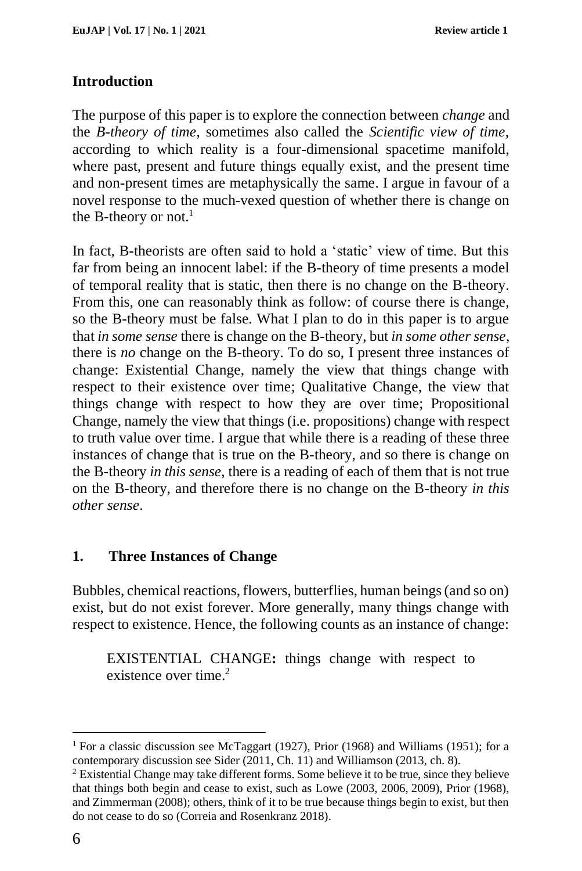## **Introduction**

The purpose of this paper is to explore the connection between *change* and the *B-theory of time*, sometimes also called the *Scientific view of time*, according to which reality is a four-dimensional spacetime manifold, where past, present and future things equally exist, and the present time and non-present times are metaphysically the same. I argue in favour of a novel response to the much-vexed question of whether there is change on the B-theory or not.<sup>1</sup>

In fact, B-theorists are often said to hold a 'static' view of time. But this far from being an innocent label: if the B-theory of time presents a model of temporal reality that is static, then there is no change on the B-theory. From this, one can reasonably think as follow: of course there is change, so the B-theory must be false. What I plan to do in this paper is to argue that *in some sense* there is change on the B-theory, but *in some other sense*, there is *no* change on the B-theory. To do so, I present three instances of change: Existential Change, namely the view that things change with respect to their existence over time; Qualitative Change, the view that things change with respect to how they are over time; Propositional Change, namely the view that things (i.e. propositions) change with respect to truth value over time. I argue that while there is a reading of these three instances of change that is true on the B-theory, and so there is change on the B-theory *in this sense*, there is a reading of each of them that is not true on the B-theory, and therefore there is no change on the B-theory *in this other sense*.

### **1. Three Instances of Change**

Bubbles, chemical reactions, flowers, butterflies, human beings (and so on) exist, but do not exist forever. More generally, many things change with respect to existence. Hence, the following counts as an instance of change:

EXISTENTIAL CHANGE**:** things change with respect to existence over time. 2

<sup>&</sup>lt;sup>1</sup> For a classic discussion see McTaggart (1927), Prior (1968) and Williams (1951); for a contemporary discussion see Sider (2011, Ch. 11) and Williamson (2013, ch. 8).

<sup>2</sup> Existential Change may take different forms. Some believe it to be true, since they believe that things both begin and cease to exist, such as Lowe (2003, 2006, 2009), Prior (1968), and Zimmerman (2008); others, think of it to be true because things begin to exist, but then do not cease to do so (Correia and Rosenkranz 2018).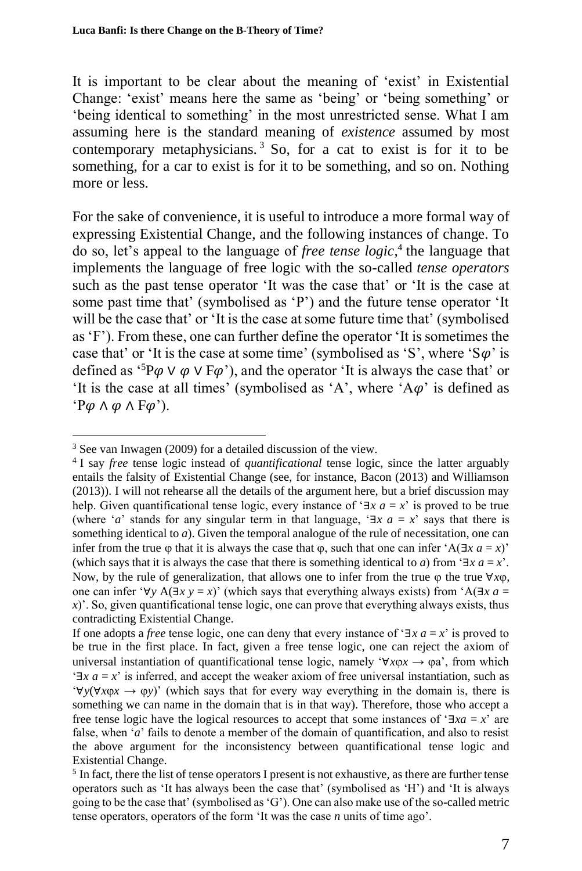It is important to be clear about the meaning of 'exist' in Existential Change: 'exist' means here the same as 'being' or 'being something' or 'being identical to something' in the most unrestricted sense. What I am assuming here is the standard meaning of *existence* assumed by most contemporary metaphysicians. <sup>3</sup> So, for a cat to exist is for it to be something, for a car to exist is for it to be something, and so on. Nothing more or less.

For the sake of convenience, it is useful to introduce a more formal way of expressing Existential Change, and the following instances of change. To do so, let's appeal to the language of *free tense logic*, 4 the language that implements the language of free logic with the so-called *tense operators* such as the past tense operator 'It was the case that' or 'It is the case at some past time that' (symbolised as 'P') and the future tense operator 'It will be the case that' or 'It is the case at some future time that' (symbolised as 'F'). From these, one can further define the operator 'It is sometimes the case that' or 'It is the case at some time' (symbolised as 'S', where 'S $\varphi$ ' is defined as  ${}^{5}P\varphi \vee \varphi \vee F\varphi$ , and the operator 'It is always the case that' or 'It is the case at all times' (symbolised as 'A', where ' $A\varphi$ ' is defined as ' $P\varphi \wedge \varphi \wedge F\varphi$ ').

<sup>3</sup> See van Inwagen (2009) for a detailed discussion of the view.

<sup>4</sup> I say *free* tense logic instead of *quantificational* tense logic, since the latter arguably entails the falsity of Existential Change (see, for instance, Bacon (2013) and Williamson (2013)). I will not rehearse all the details of the argument here, but a brief discussion may help. Given quantificational tense logic, every instance of ' $\exists x \ a = x$ ' is proved to be true (where '*a*' stands for any singular term in that language, ' $\exists x \ a = x$ ' says that there is something identical to *a*). Given the temporal analogue of the rule of necessitation, one can infer from the true  $\varphi$  that it is always the case that  $\varphi$ , such that one can infer 'A(∃*x a* = *x*)' (which says that it is always the case that there is something identical to *a*) from ' $\exists x \ a = x$ '. Now, by the rule of generalization, that allows one to infer from the true  $\phi$  the true  $\forall x \phi$ , one can infer '∀*y* A( $\exists x \ y = x$ )' (which says that everything always exists) from 'A( $\exists x \ a =$ *)'. So, given quantificational tense logic, one can prove that everything always exists, thus* contradicting Existential Change.

If one adopts a *free* tense logic, one can deny that every instance of ' $\exists x \ a = x$ ' is proved to be true in the first place. In fact, given a free tense logic, one can reject the axiom of universal instantiation of quantificational tense logic, namely ' $\forall x \varphi x \rightarrow \varphi a$ ', from which '∃*x a* = *x*' is inferred, and accept the weaker axiom of free universal instantiation, such as '∀*y*(∀*xx* → *y*)' (which says that for every way everything in the domain is, there is something we can name in the domain that is in that way). Therefore, those who accept a free tense logic have the logical resources to accept that some instances of '∃*xa* = *x*' are false, when '*a*' fails to denote a member of the domain of quantification, and also to resist the above argument for the inconsistency between quantificational tense logic and Existential Change.

<sup>&</sup>lt;sup>5</sup> In fact, there the list of tense operators I present is not exhaustive, as there are further tense operators such as 'It has always been the case that' (symbolised as 'H') and 'It is always going to be the case that' (symbolised as 'G'). One can also make use of the so-called metric tense operators, operators of the form 'It was the case *n* units of time ago'.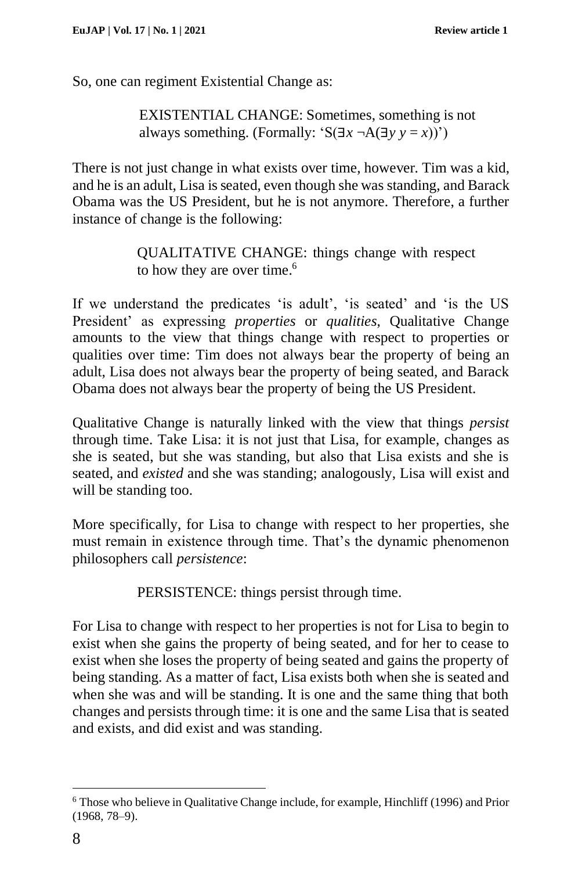So, one can regiment Existential Change as:

EXISTENTIAL CHANGE: Sometimes, something is not always something. (Formally: 'S( $\exists x \neg A(\exists y \ y = x)$ ')

There is not just change in what exists over time, however. Tim was a kid, and he is an adult, Lisa is seated, even though she was standing, and Barack Obama was the US President, but he is not anymore. Therefore, a further instance of change is the following:

> QUALITATIVE CHANGE: things change with respect to how they are over time. 6

If we understand the predicates 'is adult', 'is seated' and 'is the US President' as expressing *properties* or *qualities*, Qualitative Change amounts to the view that things change with respect to properties or qualities over time: Tim does not always bear the property of being an adult, Lisa does not always bear the property of being seated, and Barack Obama does not always bear the property of being the US President.

Qualitative Change is naturally linked with the view that things *persist* through time. Take Lisa: it is not just that Lisa, for example, changes as she is seated, but she was standing, but also that Lisa exists and she is seated, and *existed* and she was standing; analogously, Lisa will exist and will be standing too.

More specifically, for Lisa to change with respect to her properties, she must remain in existence through time. That's the dynamic phenomenon philosophers call *persistence*:

PERSISTENCE: things persist through time.

For Lisa to change with respect to her properties is not for Lisa to begin to exist when she gains the property of being seated, and for her to cease to exist when she loses the property of being seated and gains the property of being standing. As a matter of fact, Lisa exists both when she is seated and when she was and will be standing. It is one and the same thing that both changes and persists through time: it is one and the same Lisa that is seated and exists, and did exist and was standing.

<sup>6</sup> Those who believe in Qualitative Change include, for example, Hinchliff (1996) and Prior (1968, 78–9).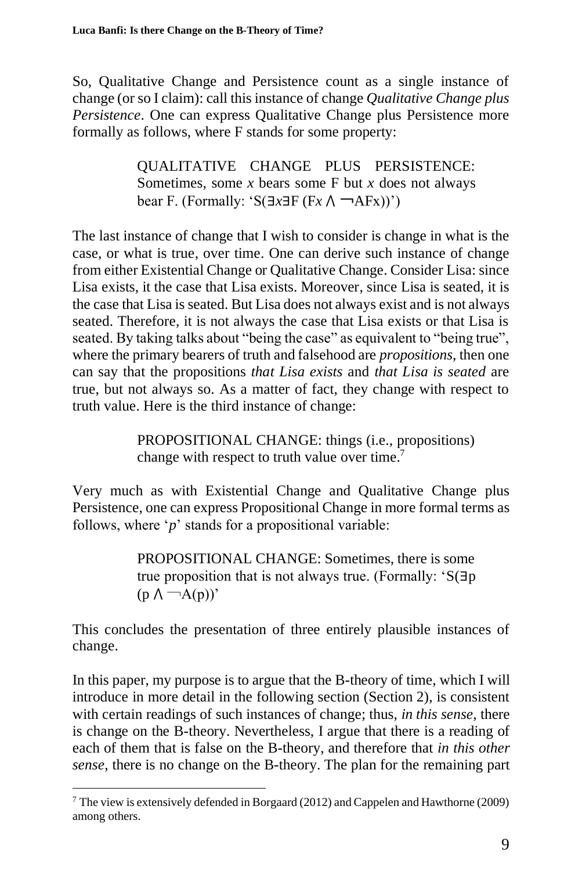So, Qualitative Change and Persistence count as a single instance of change (or so I claim): call this instance of change *Qualitative Change plus Persistence*. One can express Qualitative Change plus Persistence more formally as follows, where F stands for some property:

> QUALITATIVE CHANGE PLUS PERSISTENCE: Sometimes, some *x* bears some F but *x* does not always bear F. (Formally: 'S(∃*x*∃F (F*x* ⋀ ¬AFx))')

The last instance of change that I wish to consider is change in what is the case, or what is true, over time. One can derive such instance of change from either Existential Change or Qualitative Change. Consider Lisa: since Lisa exists, it the case that Lisa exists. Moreover, since Lisa is seated, it is the case that Lisa is seated. But Lisa does not always exist and is not always seated. Therefore, it is not always the case that Lisa exists or that Lisa is seated. By taking talks about "being the case" as equivalent to "being true", where the primary bearers of truth and falsehood are *propositions*, then one can say that the propositions *that Lisa exists* and *that Lisa is seated* are true, but not always so. As a matter of fact, they change with respect to truth value. Here is the third instance of change:

> PROPOSITIONAL CHANGE: things (i.e., propositions) change with respect to truth value over time.<sup>7</sup>

Very much as with Existential Change and Qualitative Change plus Persistence, one can express Propositional Change in more formal terms as follows, where '*p*' stands for a propositional variable:

> PROPOSITIONAL CHANGE: Sometimes, there is some true proposition that is not always true. (Formally: 'S(∃p  $(p \wedge \neg A(p))$

This concludes the presentation of three entirely plausible instances of change.

In this paper, my purpose is to argue that the B-theory of time, which I will introduce in more detail in the following section (Section 2), is consistent with certain readings of such instances of change; thus, *in this sense*, there is change on the B-theory. Nevertheless, I argue that there is a reading of each of them that is false on the B-theory, and therefore that *in this other sense*, there is no change on the B-theory. The plan for the remaining part

<sup>7</sup> The view is extensively defended in Borgaard (2012) and Cappelen and Hawthorne (2009) among others.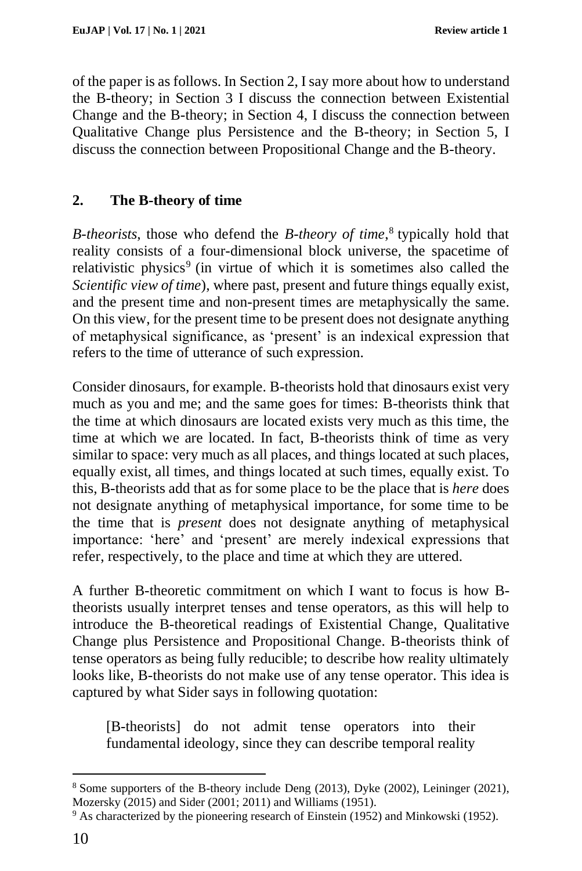of the paper is as follows. In Section 2, I say more about how to understand the B-theory; in Section 3 I discuss the connection between Existential Change and the B-theory; in Section 4, I discuss the connection between Qualitative Change plus Persistence and the B-theory; in Section 5, I discuss the connection between Propositional Change and the B-theory.

# **2. The B-theory of time**

*B-theorists*, those who defend the *B-theory of time*,<sup>8</sup> typically hold that reality consists of a four-dimensional block universe, the spacetime of relativistic physics<sup>9</sup> (in virtue of which it is sometimes also called the *Scientific view of time*), where past, present and future things equally exist, and the present time and non-present times are metaphysically the same. On this view, for the present time to be present does not designate anything of metaphysical significance, as 'present' is an indexical expression that refers to the time of utterance of such expression.

Consider dinosaurs, for example. B-theorists hold that dinosaurs exist very much as you and me; and the same goes for times: B-theorists think that the time at which dinosaurs are located exists very much as this time, the time at which we are located. In fact, B-theorists think of time as very similar to space: very much as all places, and things located at such places, equally exist, all times, and things located at such times, equally exist. To this, B-theorists add that as for some place to be the place that is *here* does not designate anything of metaphysical importance, for some time to be the time that is *present* does not designate anything of metaphysical importance: 'here' and 'present' are merely indexical expressions that refer, respectively, to the place and time at which they are uttered.

A further B-theoretic commitment on which I want to focus is how Btheorists usually interpret tenses and tense operators, as this will help to introduce the B-theoretical readings of Existential Change, Qualitative Change plus Persistence and Propositional Change. B-theorists think of tense operators as being fully reducible; to describe how reality ultimately looks like, B-theorists do not make use of any tense operator. This idea is captured by what Sider says in following quotation:

[B-theorists] do not admit tense operators into their fundamental ideology, since they can describe temporal reality

<sup>8</sup> Some supporters of the B-theory include Deng (2013), Dyke (2002), Leininger (2021), Mozersky (2015) and Sider (2001; 2011) and Williams (1951).

<sup>9</sup> As characterized by the pioneering research of Einstein (1952) and Minkowski (1952).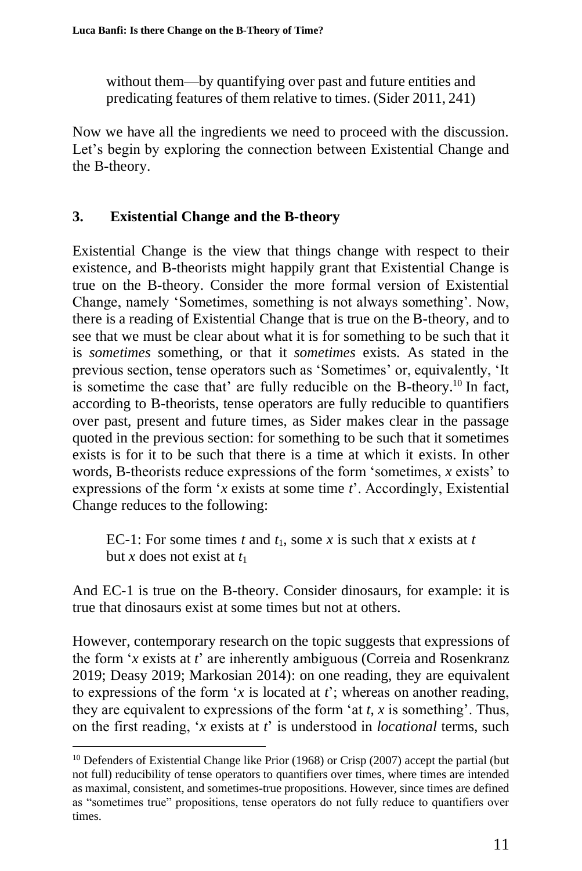without them—by quantifying over past and future entities and predicating features of them relative to times. (Sider 2011, 241)

Now we have all the ingredients we need to proceed with the discussion. Let's begin by exploring the connection between Existential Change and the B-theory.

# **3. Existential Change and the B-theory**

Existential Change is the view that things change with respect to their existence, and B-theorists might happily grant that Existential Change is true on the B-theory. Consider the more formal version of Existential Change, namely 'Sometimes, something is not always something'. Now, there is a reading of Existential Change that is true on the B-theory, and to see that we must be clear about what it is for something to be such that it is *sometimes* something, or that it *sometimes* exists. As stated in the previous section, tense operators such as 'Sometimes' or, equivalently, 'It is sometime the case that' are fully reducible on the B-theory.<sup>10</sup> In fact, according to B-theorists, tense operators are fully reducible to quantifiers over past, present and future times, as Sider makes clear in the passage quoted in the previous section: for something to be such that it sometimes exists is for it to be such that there is a time at which it exists. In other words, B-theorists reduce expressions of the form 'sometimes, *x* exists' to expressions of the form '*x* exists at some time *t*'. Accordingly, Existential Change reduces to the following:

EC-1: For some times  $t$  and  $t_1$ , some  $x$  is such that  $x$  exists at  $t$ but *x* does not exist at  $t_1$ 

And EC-1 is true on the B-theory. Consider dinosaurs, for example: it is true that dinosaurs exist at some times but not at others.

However, contemporary research on the topic suggests that expressions of the form '*x* exists at *t*' are inherently ambiguous (Correia and Rosenkranz 2019; Deasy 2019; Markosian 2014): on one reading, they are equivalent to expressions of the form '*x* is located at *t*'; whereas on another reading, they are equivalent to expressions of the form 'at *t*, *x* is something'. Thus, on the first reading, '*x* exists at *t*' is understood in *locational* terms, such

<sup>&</sup>lt;sup>10</sup> Defenders of Existential Change like Prior (1968) or Crisp (2007) accept the partial (but not full) reducibility of tense operators to quantifiers over times, where times are intended as maximal, consistent, and sometimes-true propositions. However, since times are defined as "sometimes true" propositions, tense operators do not fully reduce to quantifiers over times.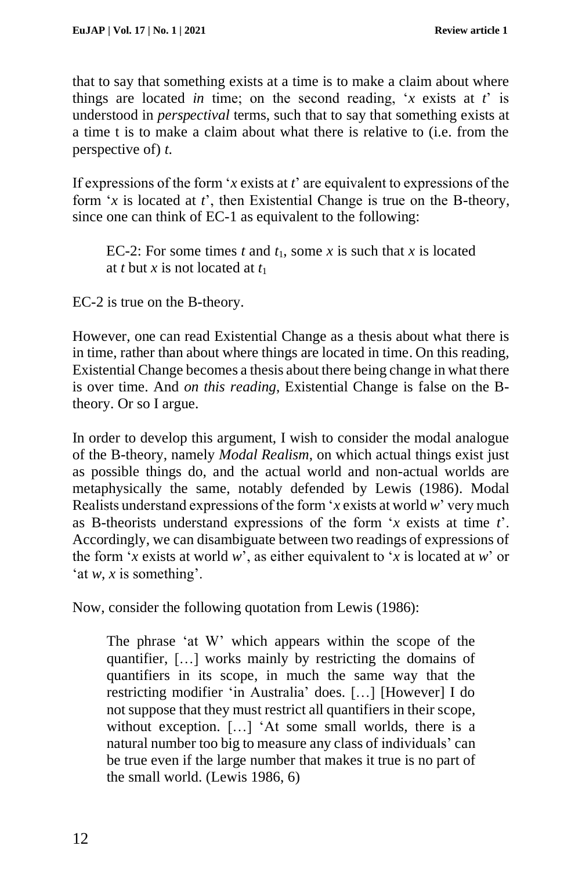that to say that something exists at a time is to make a claim about where things are located *in* time; on the second reading, '*x* exists at *t*' is understood in *perspectival* terms, such that to say that something exists at a time t is to make a claim about what there is relative to (i.e. from the perspective of) *t*.

If expressions of the form '*x* exists at *t*' are equivalent to expressions of the form '*x* is located at *t*', then Existential Change is true on the B-theory, since one can think of EC-1 as equivalent to the following:

EC-2: For some times *t* and  $t_1$ , some *x* is such that *x* is located at *t* but *x* is not located at *t*<sup>1</sup>

EC-2 is true on the B-theory.

However, one can read Existential Change as a thesis about what there is in time, rather than about where things are located in time. On this reading, Existential Change becomes a thesis about there being change in what there is over time. And *on this reading*, Existential Change is false on the Btheory. Or so I argue.

In order to develop this argument, I wish to consider the modal analogue of the B-theory, namely *Modal Realism*, on which actual things exist just as possible things do, and the actual world and non-actual worlds are metaphysically the same, notably defended by Lewis (1986). Modal Realists understand expressions of the form '*x* exists at world *w*' very much as B-theorists understand expressions of the form '*x* exists at time *t*'. Accordingly, we can disambiguate between two readings of expressions of the form '*x* exists at world *w*', as either equivalent to '*x* is located at *w*' or 'at *w*, *x* is something'.

Now, consider the following quotation from Lewis (1986):

The phrase 'at W' which appears within the scope of the quantifier, […] works mainly by restricting the domains of quantifiers in its scope, in much the same way that the restricting modifier 'in Australia' does. […] [However] I do not suppose that they must restrict all quantifiers in their scope, without exception. […] 'At some small worlds, there is a natural number too big to measure any class of individuals' can be true even if the large number that makes it true is no part of the small world. (Lewis 1986, 6)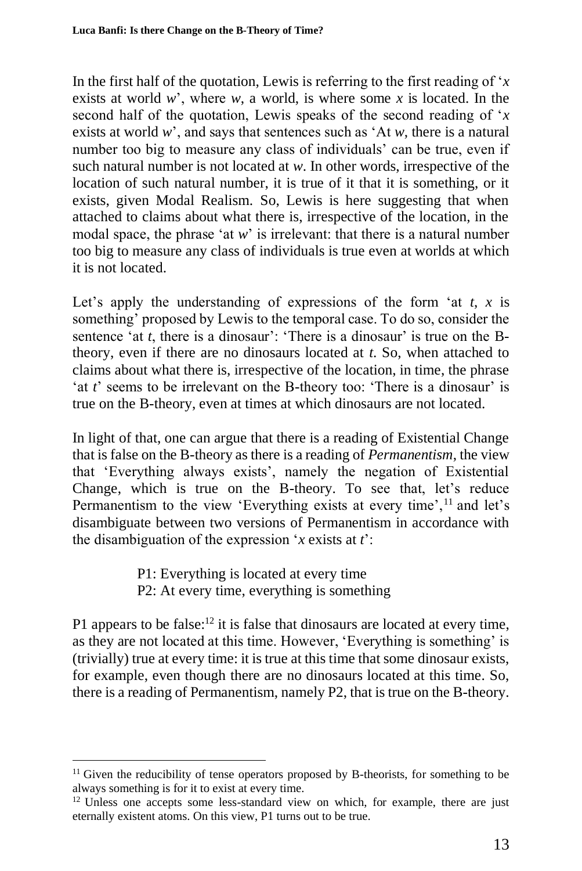In the first half of the quotation, Lewis is referring to the first reading of '*x* exists at world *w*', where *w*, a world, is where some *x* is located. In the second half of the quotation, Lewis speaks of the second reading of '*x* exists at world *w*', and says that sentences such as 'At *w*, there is a natural number too big to measure any class of individuals' can be true, even if such natural number is not located at *w*. In other words, irrespective of the location of such natural number, it is true of it that it is something, or it exists, given Modal Realism. So, Lewis is here suggesting that when attached to claims about what there is, irrespective of the location, in the modal space, the phrase 'at *w*' is irrelevant: that there is a natural number too big to measure any class of individuals is true even at worlds at which it is not located.

Let's apply the understanding of expressions of the form 'at *t*, *x* is something' proposed by Lewis to the temporal case. To do so, consider the sentence 'at *t*, there is a dinosaur': 'There is a dinosaur' is true on the Btheory, even if there are no dinosaurs located at *t*. So, when attached to claims about what there is, irrespective of the location, in time, the phrase 'at *t*' seems to be irrelevant on the B-theory too: 'There is a dinosaur' is true on the B-theory, even at times at which dinosaurs are not located.

In light of that, one can argue that there is a reading of Existential Change that is false on the B-theory as there is a reading of *Permanentism*, the view that 'Everything always exists', namely the negation of Existential Change, which is true on the B-theory. To see that, let's reduce Permanentism to the view 'Everything exists at every time',<sup>11</sup> and let's disambiguate between two versions of Permanentism in accordance with the disambiguation of the expression '*x* exists at *t*':

> P1: Everything is located at every time P2: At every time, everything is something

P1 appears to be false: $12$  it is false that dinosaurs are located at every time, as they are not located at this time. However, 'Everything is something' is (trivially) true at every time: it is true at this time that some dinosaur exists, for example, even though there are no dinosaurs located at this time. So, there is a reading of Permanentism, namely P2, that is true on the B-theory.

<sup>&</sup>lt;sup>11</sup> Given the reducibility of tense operators proposed by B-theorists, for something to be always something is for it to exist at every time.

<sup>&</sup>lt;sup>12</sup> Unless one accepts some less-standard view on which, for example, there are just eternally existent atoms. On this view, P1 turns out to be true.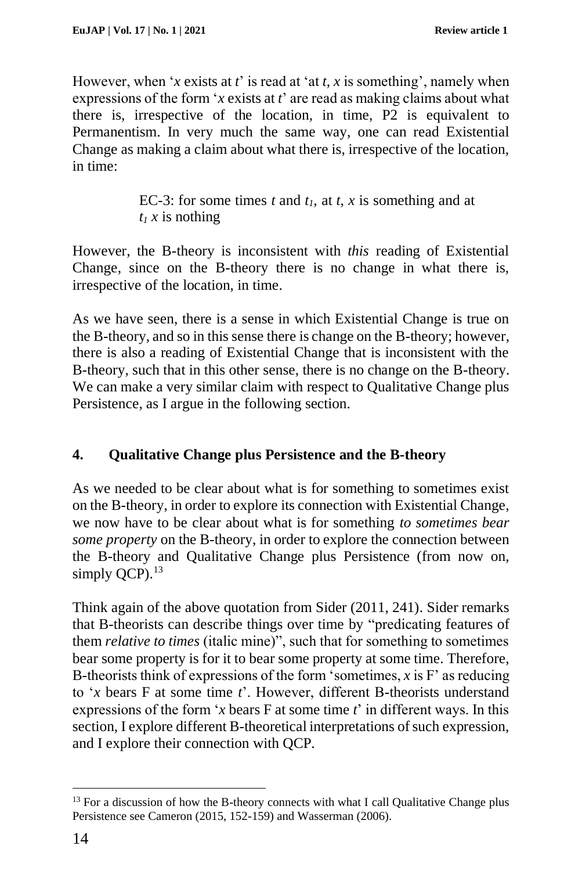However, when '*x* exists at *t*' is read at 'at *t*, *x* is something', namely when expressions of the form '*x* exists at *t*' are read as making claims about what there is, irrespective of the location, in time, P2 is equivalent to Permanentism. In very much the same way, one can read Existential Change as making a claim about what there is, irrespective of the location, in time:

> EC-3: for some times *t* and  $t_1$ , at *t*, *x* is something and at  $t_1$ *x* is nothing

However, the B-theory is inconsistent with *this* reading of Existential Change, since on the B-theory there is no change in what there is, irrespective of the location, in time.

As we have seen, there is a sense in which Existential Change is true on the B-theory, and so in this sense there is change on the B-theory; however, there is also a reading of Existential Change that is inconsistent with the B-theory, such that in this other sense, there is no change on the B-theory. We can make a very similar claim with respect to Qualitative Change plus Persistence, as I argue in the following section.

## **4. Qualitative Change plus Persistence and the B-theory**

As we needed to be clear about what is for something to sometimes exist on the B-theory, in order to explore its connection with Existential Change, we now have to be clear about what is for something *to sometimes bear some property* on the B-theory, in order to explore the connection between the B-theory and Qualitative Change plus Persistence (from now on, simply  $OCP$ ).<sup>13</sup>

Think again of the above quotation from Sider (2011, 241). Sider remarks that B-theorists can describe things over time by "predicating features of them *relative to times* (italic mine)", such that for something to sometimes bear some property is for it to bear some property at some time. Therefore, B-theorists think of expressions of the form 'sometimes, *x* is F' as reducing to '*x* bears F at some time *t*'. However, different B-theorists understand expressions of the form '*x* bears F at some time *t*' in different ways. In this section, I explore different B-theoretical interpretations of such expression, and I explore their connection with QCP.

<sup>&</sup>lt;sup>13</sup> For a discussion of how the B-theory connects with what I call Qualitative Change plus Persistence see Cameron (2015, 152-159) and Wasserman (2006).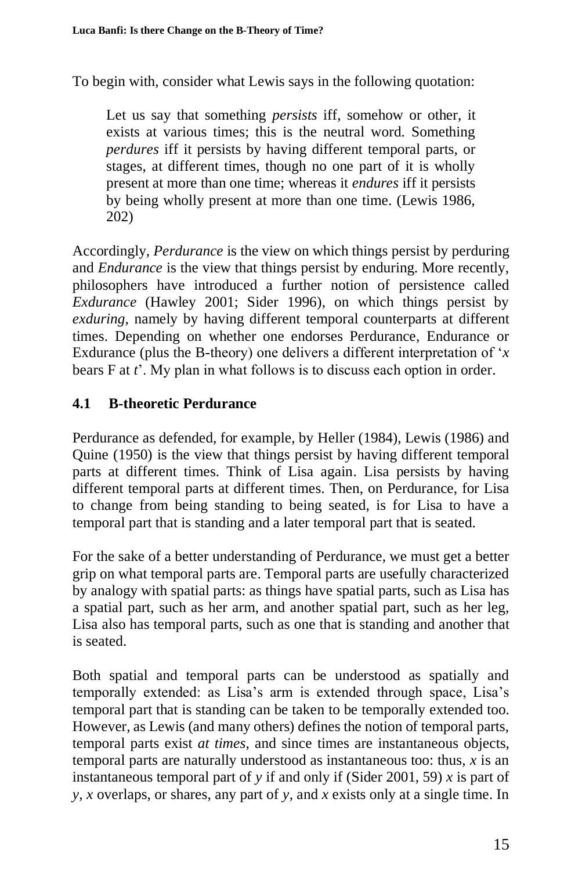To begin with, consider what Lewis says in the following quotation:

Let us say that something *persists* iff, somehow or other, it exists at various times; this is the neutral word. Something *perdures* iff it persists by having different temporal parts, or stages, at different times, though no one part of it is wholly present at more than one time; whereas it *endures* iff it persists by being wholly present at more than one time. (Lewis 1986, 202)

Accordingly, *Perdurance* is the view on which things persist by perduring and *Endurance* is the view that things persist by enduring. More recently, philosophers have introduced a further notion of persistence called *Exdurance* (Hawley 2001; Sider 1996), on which things persist by *exduring*, namely by having different temporal counterparts at different times. Depending on whether one endorses Perdurance, Endurance or Exdurance (plus the B-theory) one delivers a different interpretation of '*x* bears F at *t*'. My plan in what follows is to discuss each option in order.

## **4.1 B-theoretic Perdurance**

Perdurance as defended, for example, by Heller (1984), Lewis (1986) and Quine (1950) is the view that things persist by having different temporal parts at different times. Think of Lisa again. Lisa persists by having different temporal parts at different times. Then, on Perdurance, for Lisa to change from being standing to being seated, is for Lisa to have a temporal part that is standing and a later temporal part that is seated.

For the sake of a better understanding of Perdurance, we must get a better grip on what temporal parts are. Temporal parts are usefully characterized by analogy with spatial parts: as things have spatial parts, such as Lisa has a spatial part, such as her arm, and another spatial part, such as her leg, Lisa also has temporal parts, such as one that is standing and another that is seated.

Both spatial and temporal parts can be understood as spatially and temporally extended: as Lisa's arm is extended through space, Lisa's temporal part that is standing can be taken to be temporally extended too. However, as Lewis (and many others) defines the notion of temporal parts, temporal parts exist *at times*, and since times are instantaneous objects, temporal parts are naturally understood as instantaneous too: thus, *x* is an instantaneous temporal part of *y* if and only if (Sider 2001, 59) *x* is part of *y*, *x* overlaps, or shares, any part of *y*, and *x* exists only at a single time. In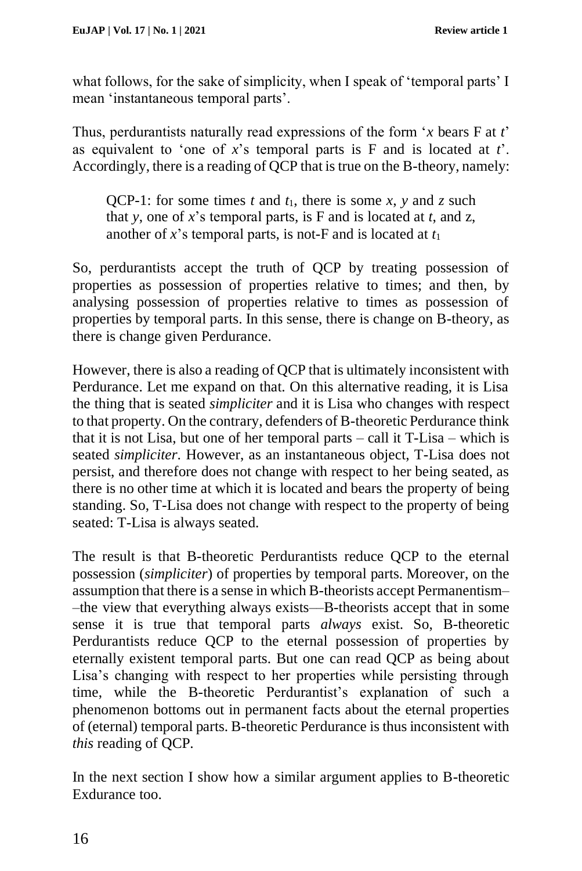what follows, for the sake of simplicity, when I speak of 'temporal parts' I mean 'instantaneous temporal parts'.

Thus, perdurantists naturally read expressions of the form '*x* bears F at *t*' as equivalent to 'one of *x*'s temporal parts is F and is located at *t*'. Accordingly, there is a reading of QCP that is true on the B-theory, namely:

QCP-1: for some times *t* and  $t_1$ , there is some *x*, *y* and *z* such that *y*, one of *x*'s temporal parts, is F and is located at *t*, and z, another of  $x$ 's temporal parts, is not-F and is located at  $t_1$ 

So, perdurantists accept the truth of QCP by treating possession of properties as possession of properties relative to times; and then, by analysing possession of properties relative to times as possession of properties by temporal parts. In this sense, there is change on B-theory, as there is change given Perdurance.

However, there is also a reading of QCP that is ultimately inconsistent with Perdurance. Let me expand on that. On this alternative reading, it is Lisa the thing that is seated *simpliciter* and it is Lisa who changes with respect to that property. On the contrary, defenders of B-theoretic Perdurance think that it is not Lisa, but one of her temporal parts – call it T-Lisa – which is seated *simpliciter*. However, as an instantaneous object, T-Lisa does not persist, and therefore does not change with respect to her being seated, as there is no other time at which it is located and bears the property of being standing. So, T-Lisa does not change with respect to the property of being seated: T-Lisa is always seated.

The result is that B-theoretic Perdurantists reduce QCP to the eternal possession (*simpliciter*) of properties by temporal parts. Moreover, on the assumption that there is a sense in which B-theorists accept Permanentism– –the view that everything always exists––B-theorists accept that in some sense it is true that temporal parts *always* exist. So, B-theoretic Perdurantists reduce QCP to the eternal possession of properties by eternally existent temporal parts. But one can read QCP as being about Lisa's changing with respect to her properties while persisting through time, while the B-theoretic Perdurantist's explanation of such a phenomenon bottoms out in permanent facts about the eternal properties of (eternal) temporal parts. B-theoretic Perdurance is thus inconsistent with *this* reading of QCP.

In the next section I show how a similar argument applies to B-theoretic Exdurance too.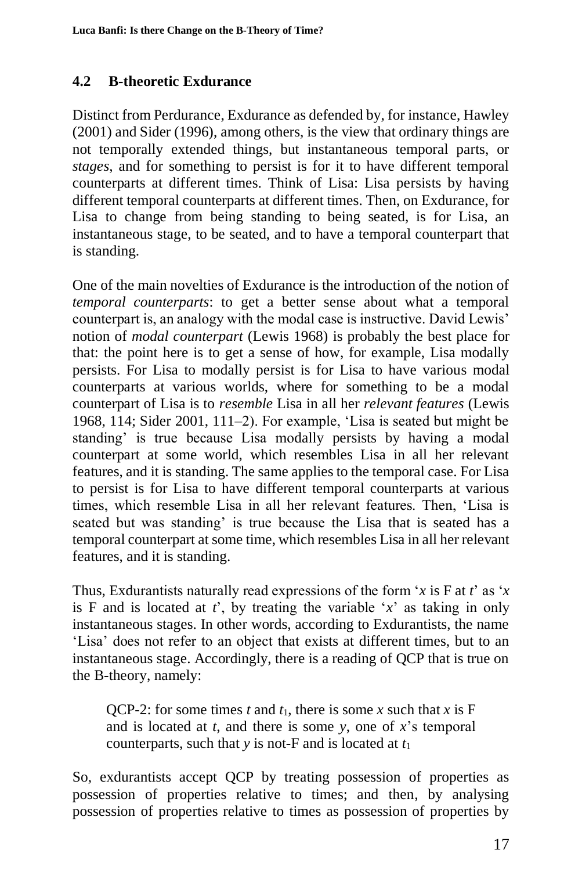# **4.2 B-theoretic Exdurance**

Distinct from Perdurance, Exdurance as defended by, for instance, Hawley (2001) and Sider (1996), among others, is the view that ordinary things are not temporally extended things, but instantaneous temporal parts, or *stages*, and for something to persist is for it to have different temporal counterparts at different times. Think of Lisa: Lisa persists by having different temporal counterparts at different times. Then, on Exdurance, for Lisa to change from being standing to being seated, is for Lisa, an instantaneous stage, to be seated, and to have a temporal counterpart that is standing.

One of the main novelties of Exdurance is the introduction of the notion of *temporal counterparts*: to get a better sense about what a temporal counterpart is, an analogy with the modal case is instructive. David Lewis' notion of *modal counterpart* (Lewis 1968) is probably the best place for that: the point here is to get a sense of how, for example, Lisa modally persists. For Lisa to modally persist is for Lisa to have various modal counterparts at various worlds, where for something to be a modal counterpart of Lisa is to *resemble* Lisa in all her *relevant features* (Lewis 1968, 114; Sider 2001, 111–2). For example, 'Lisa is seated but might be standing' is true because Lisa modally persists by having a modal counterpart at some world, which resembles Lisa in all her relevant features, and it is standing. The same applies to the temporal case. For Lisa to persist is for Lisa to have different temporal counterparts at various times, which resemble Lisa in all her relevant features. Then, 'Lisa is seated but was standing' is true because the Lisa that is seated has a temporal counterpart at some time, which resembles Lisa in all her relevant features, and it is standing.

Thus, Exdurantists naturally read expressions of the form '*x* is F at *t*' as '*x* is F and is located at  $t'$ , by treating the variable  $x'$  as taking in only instantaneous stages. In other words, according to Exdurantists, the name 'Lisa' does not refer to an object that exists at different times, but to an instantaneous stage. Accordingly, there is a reading of QCP that is true on the B-theory, namely:

QCP-2: for some times *t* and  $t_1$ , there is some *x* such that *x* is F and is located at *t*, and there is some *y*, one of *x*'s temporal counterparts, such that  $y$  is not-F and is located at  $t_1$ 

So, exdurantists accept QCP by treating possession of properties as possession of properties relative to times; and then, by analysing possession of properties relative to times as possession of properties by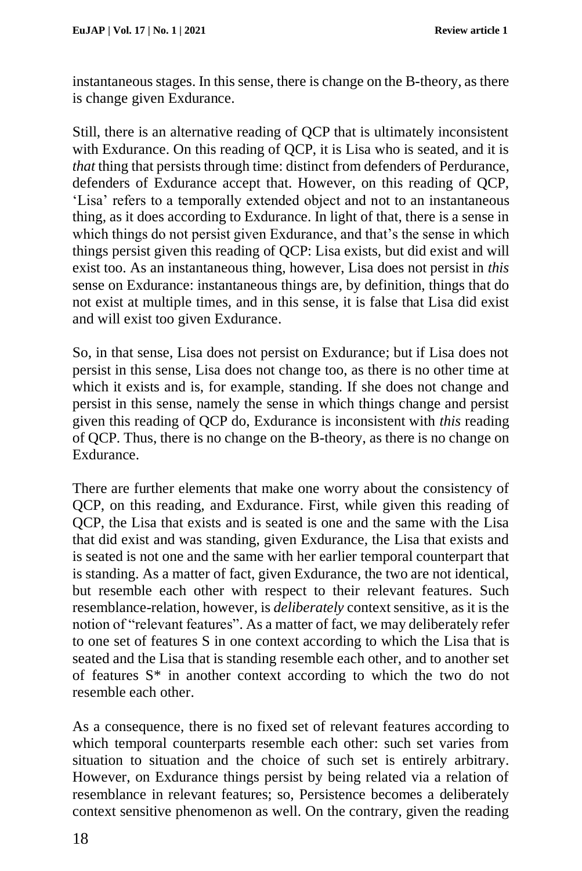instantaneous stages. In this sense, there is change on the B-theory, as there is change given Exdurance.

Still, there is an alternative reading of QCP that is ultimately inconsistent with Exdurance. On this reading of QCP, it is Lisa who is seated, and it is *that* thing that persists through time: distinct from defenders of Perdurance, defenders of Exdurance accept that. However, on this reading of QCP, 'Lisa' refers to a temporally extended object and not to an instantaneous thing, as it does according to Exdurance. In light of that, there is a sense in which things do not persist given Exdurance, and that's the sense in which things persist given this reading of QCP: Lisa exists, but did exist and will exist too. As an instantaneous thing, however, Lisa does not persist in *this* sense on Exdurance: instantaneous things are, by definition, things that do not exist at multiple times, and in this sense, it is false that Lisa did exist and will exist too given Exdurance.

So, in that sense, Lisa does not persist on Exdurance; but if Lisa does not persist in this sense, Lisa does not change too, as there is no other time at which it exists and is, for example, standing. If she does not change and persist in this sense, namely the sense in which things change and persist given this reading of QCP do, Exdurance is inconsistent with *this* reading of QCP. Thus, there is no change on the B-theory, as there is no change on Exdurance.

There are further elements that make one worry about the consistency of QCP, on this reading, and Exdurance. First, while given this reading of QCP, the Lisa that exists and is seated is one and the same with the Lisa that did exist and was standing, given Exdurance, the Lisa that exists and is seated is not one and the same with her earlier temporal counterpart that is standing. As a matter of fact, given Exdurance, the two are not identical, but resemble each other with respect to their relevant features. Such resemblance-relation, however, is *deliberately* context sensitive, as it is the notion of "relevant features". As a matter of fact, we may deliberately refer to one set of features S in one context according to which the Lisa that is seated and the Lisa that is standing resemble each other, and to another set of features S\* in another context according to which the two do not resemble each other.

As a consequence, there is no fixed set of relevant features according to which temporal counterparts resemble each other: such set varies from situation to situation and the choice of such set is entirely arbitrary. However, on Exdurance things persist by being related via a relation of resemblance in relevant features; so, Persistence becomes a deliberately context sensitive phenomenon as well. On the contrary, given the reading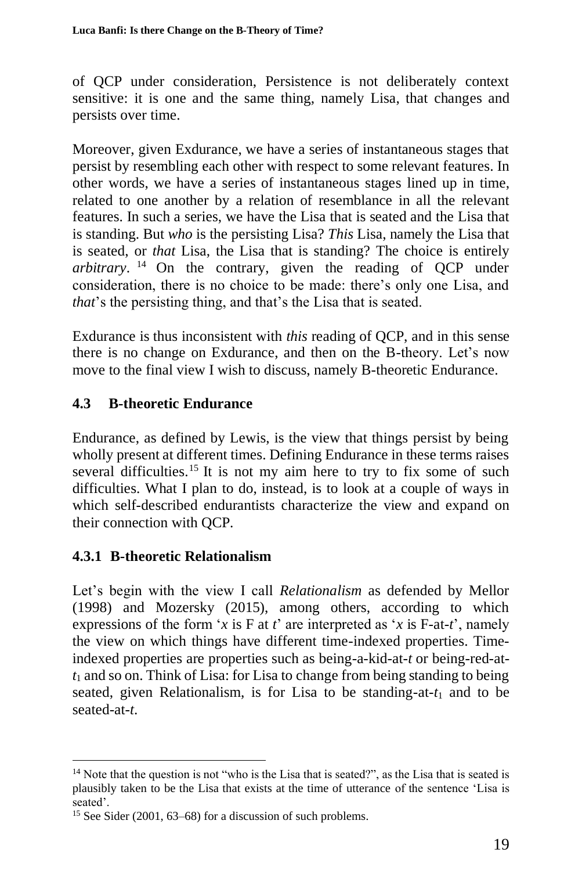of QCP under consideration, Persistence is not deliberately context sensitive: it is one and the same thing, namely Lisa, that changes and persists over time.

Moreover, given Exdurance, we have a series of instantaneous stages that persist by resembling each other with respect to some relevant features. In other words, we have a series of instantaneous stages lined up in time, related to one another by a relation of resemblance in all the relevant features. In such a series, we have the Lisa that is seated and the Lisa that is standing. But *who* is the persisting Lisa? *This* Lisa, namely the Lisa that is seated, or *that* Lisa, the Lisa that is standing? The choice is entirely *arbitrary*. <sup>14</sup> On the contrary, given the reading of QCP under consideration, there is no choice to be made: there's only one Lisa, and *that*'s the persisting thing, and that's the Lisa that is seated.

Exdurance is thus inconsistent with *this* reading of QCP, and in this sense there is no change on Exdurance, and then on the B-theory. Let's now move to the final view I wish to discuss, namely B-theoretic Endurance.

## **4.3 B-theoretic Endurance**

Endurance, as defined by Lewis, is the view that things persist by being wholly present at different times. Defining Endurance in these terms raises several difficulties.<sup>15</sup> It is not my aim here to try to fix some of such difficulties. What I plan to do, instead, is to look at a couple of ways in which self-described endurantists characterize the view and expand on their connection with QCP.

## **4.3.1 B-theoretic Relationalism**

Let's begin with the view I call *Relationalism* as defended by Mellor (1998) and Mozersky (2015), among others, according to which expressions of the form '*x* is F at *t*' are interpreted as '*x* is F-at-*t*', namely the view on which things have different time-indexed properties. Timeindexed properties are properties such as being-a-kid-at-*t* or being-red-at*t*<sup>1</sup> and so on. Think of Lisa: for Lisa to change from being standing to being seated, given Relationalism, is for Lisa to be standing-at- $t_1$  and to be seated-at-*t*.

<sup>&</sup>lt;sup>14</sup> Note that the question is not "who is the Lisa that is seated?", as the Lisa that is seated is plausibly taken to be the Lisa that exists at the time of utterance of the sentence 'Lisa is seated'.

<sup>15</sup> See Sider (2001, 63–68) for a discussion of such problems.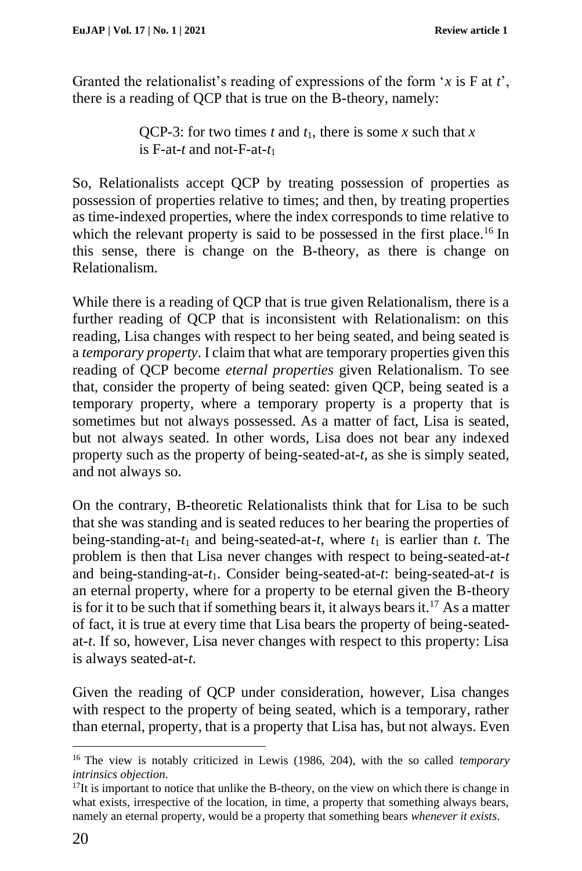Granted the relationalist's reading of expressions of the form '*x* is F at *t*', there is a reading of QCP that is true on the B-theory, namely:

> QCP-3: for two times *t* and  $t_1$ , there is some *x* such that *x* is F-at-*t* and not-F-at-*t*<sup>1</sup>

So, Relationalists accept QCP by treating possession of properties as possession of properties relative to times; and then, by treating properties as time-indexed properties, where the index corresponds to time relative to which the relevant property is said to be possessed in the first place.<sup>16</sup> In this sense, there is change on the B-theory, as there is change on Relationalism.

While there is a reading of QCP that is true given Relationalism, there is a further reading of QCP that is inconsistent with Relationalism: on this reading, Lisa changes with respect to her being seated, and being seated is a *temporary property*. I claim that what are temporary properties given this reading of QCP become *eternal properties* given Relationalism. To see that, consider the property of being seated: given QCP, being seated is a temporary property, where a temporary property is a property that is sometimes but not always possessed. As a matter of fact, Lisa is seated, but not always seated. In other words, Lisa does not bear any indexed property such as the property of being-seated-at-*t*, as she is simply seated, and not always so.

On the contrary, B-theoretic Relationalists think that for Lisa to be such that she was standing and is seated reduces to her bearing the properties of being-standing-at- $t_1$  and being-seated-at- $t_1$ , where  $t_1$  is earlier than  $t_1$ . The problem is then that Lisa never changes with respect to being-seated-at-*t* and being-standing-at-*t*1. Consider being-seated-at-*t*: being-seated-at-*t* is an eternal property, where for a property to be eternal given the B-theory is for it to be such that if something bears it, it always bears it.<sup>17</sup> As a matter of fact, it is true at every time that Lisa bears the property of being-seatedat-*t*. If so, however, Lisa never changes with respect to this property: Lisa is always seated-at-*t*.

Given the reading of QCP under consideration, however, Lisa changes with respect to the property of being seated, which is a temporary, rather than eternal, property, that is a property that Lisa has, but not always. Even

<sup>16</sup> The view is notably criticized in Lewis (1986, 204), with the so called *temporary intrinsics objection*.

 $17$ It is important to notice that unlike the B-theory, on the view on which there is change in what exists, irrespective of the location, in time, a property that something always bears, namely an eternal property, would be a property that something bears *whenever it exists*.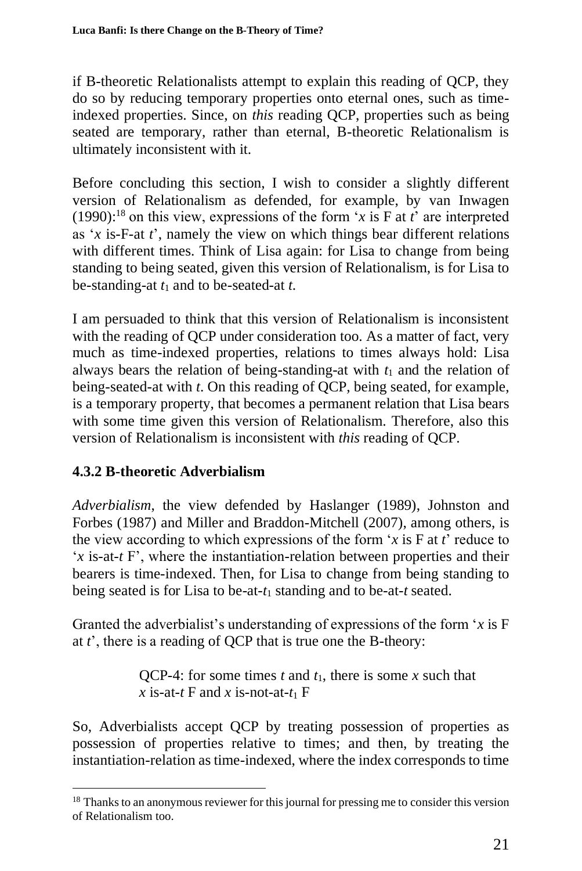if B-theoretic Relationalists attempt to explain this reading of QCP, they do so by reducing temporary properties onto eternal ones, such as timeindexed properties. Since, on *this* reading QCP, properties such as being seated are temporary, rather than eternal, B-theoretic Relationalism is ultimately inconsistent with it.

Before concluding this section, I wish to consider a slightly different version of Relationalism as defended, for example, by van Inwagen (1990):<sup>18</sup> on this view, expressions of the form '*x* is F at *t*' are interpreted as '*x* is-F-at *t*', namely the view on which things bear different relations with different times. Think of Lisa again: for Lisa to change from being standing to being seated, given this version of Relationalism, is for Lisa to be-standing-at *t*<sup>1</sup> and to be-seated-at *t*.

I am persuaded to think that this version of Relationalism is inconsistent with the reading of QCP under consideration too. As a matter of fact, very much as time-indexed properties, relations to times always hold: Lisa always bears the relation of being-standing-at with  $t_1$  and the relation of being-seated-at with *t*. On this reading of QCP, being seated, for example, is a temporary property, that becomes a permanent relation that Lisa bears with some time given this version of Relationalism. Therefore, also this version of Relationalism is inconsistent with *this* reading of QCP.

# **4.3.2 B-theoretic Adverbialism**

*Adverbialism*, the view defended by Haslanger (1989), Johnston and Forbes (1987) and Miller and Braddon-Mitchell (2007), among others, is the view according to which expressions of the form  $x$  is F at  $t<sup>3</sup>$  reduce to '*x* is-at-*t* F', where the instantiation-relation between properties and their bearers is time-indexed. Then, for Lisa to change from being standing to being seated is for Lisa to be-at-*t*<sup>1</sup> standing and to be-at-*t* seated.

Granted the adverbialist's understanding of expressions of the form '*x* is F at *t*', there is a reading of QCP that is true one the B-theory:

> QCP-4: for some times *t* and *t*1, there is some *x* such that *x* is-at-*t* F and *x* is-not-at- $t_1$  F

So, Adverbialists accept QCP by treating possession of properties as possession of properties relative to times; and then, by treating the instantiation-relation as time-indexed, where the index corresponds to time

<sup>&</sup>lt;sup>18</sup> Thanks to an anonymous reviewer for this journal for pressing me to consider this version of Relationalism too.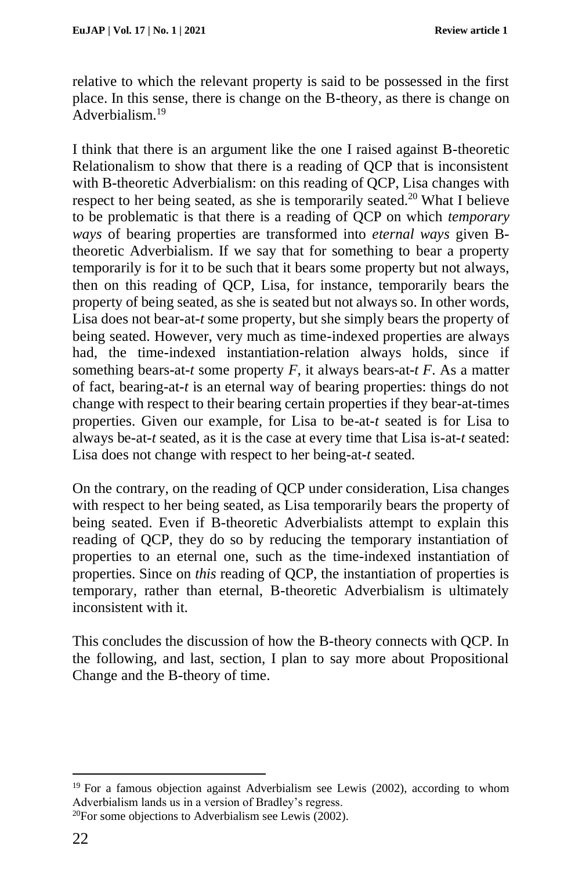relative to which the relevant property is said to be possessed in the first place. In this sense, there is change on the B-theory, as there is change on Adverbialism<sup>19</sup>

I think that there is an argument like the one I raised against B-theoretic Relationalism to show that there is a reading of QCP that is inconsistent with B-theoretic Adverbialism: on this reading of QCP, Lisa changes with respect to her being seated, as she is temporarily seated.<sup>20</sup> What I believe to be problematic is that there is a reading of QCP on which *temporary ways* of bearing properties are transformed into *eternal ways* given Btheoretic Adverbialism. If we say that for something to bear a property temporarily is for it to be such that it bears some property but not always, then on this reading of QCP, Lisa, for instance, temporarily bears the property of being seated, as she is seated but not always so. In other words, Lisa does not bear-at-*t* some property, but she simply bears the property of being seated. However, very much as time-indexed properties are always had, the time-indexed instantiation-relation always holds, since if something bears-at-*t* some property  $F$ , it always bears-at-*t*  $F$ . As a matter of fact, bearing-at-*t* is an eternal way of bearing properties: things do not change with respect to their bearing certain properties if they bear-at-times properties. Given our example, for Lisa to be-at-*t* seated is for Lisa to always be-at-*t* seated, as it is the case at every time that Lisa is-at-*t* seated: Lisa does not change with respect to her being-at-*t* seated.

On the contrary, on the reading of QCP under consideration, Lisa changes with respect to her being seated, as Lisa temporarily bears the property of being seated. Even if B-theoretic Adverbialists attempt to explain this reading of QCP, they do so by reducing the temporary instantiation of properties to an eternal one, such as the time-indexed instantiation of properties. Since on *this* reading of QCP, the instantiation of properties is temporary, rather than eternal, B-theoretic Adverbialism is ultimately inconsistent with it.

This concludes the discussion of how the B-theory connects with QCP. In the following, and last, section, I plan to say more about Propositional Change and the B-theory of time.

<sup>19</sup> For a famous objection against Adverbialism see Lewis (2002), according to whom Adverbialism lands us in a version of Bradley's regress.

<sup>20</sup>For some objections to Adverbialism see Lewis (2002).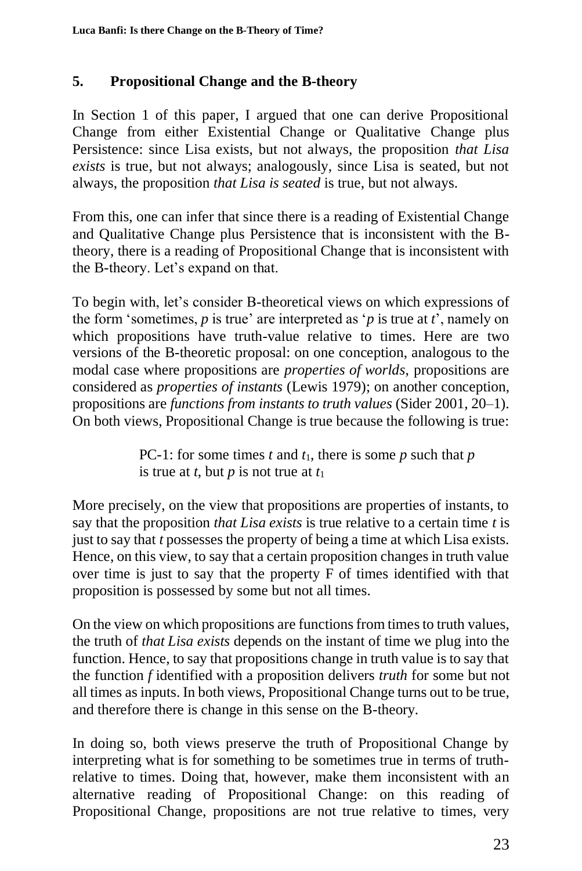## **5. Propositional Change and the B-theory**

In Section 1 of this paper, I argued that one can derive Propositional Change from either Existential Change or Qualitative Change plus Persistence: since Lisa exists, but not always, the proposition *that Lisa exists* is true, but not always; analogously, since Lisa is seated, but not always, the proposition *that Lisa is seated* is true, but not always.

From this, one can infer that since there is a reading of Existential Change and Qualitative Change plus Persistence that is inconsistent with the Btheory, there is a reading of Propositional Change that is inconsistent with the B-theory. Let's expand on that.

To begin with, let's consider B-theoretical views on which expressions of the form 'sometimes,  $p$  is true' are interpreted as ' $p$  is true at  $t$ ', namely on which propositions have truth-value relative to times. Here are two versions of the B-theoretic proposal: on one conception, analogous to the modal case where propositions are *properties of worlds*, propositions are considered as *properties of instants* (Lewis 1979); on another conception, propositions are *functions from instants to truth values* (Sider 2001, 20–1). On both views, Propositional Change is true because the following is true:

> PC-1: for some times *t* and *t*1, there is some *p* such that *p* is true at *t*, but *p* is not true at  $t_1$

More precisely, on the view that propositions are properties of instants, to say that the proposition *that Lisa exists* is true relative to a certain time *t* is just to say that *t* possesses the property of being a time at which Lisa exists. Hence, on this view, to say that a certain proposition changes in truth value over time is just to say that the property F of times identified with that proposition is possessed by some but not all times.

On the view on which propositions are functions from times to truth values, the truth of *that Lisa exists* depends on the instant of time we plug into the function. Hence, to say that propositions change in truth value is to say that the function *f* identified with a proposition delivers *truth* for some but not all times as inputs. In both views, Propositional Change turns out to be true, and therefore there is change in this sense on the B-theory.

In doing so, both views preserve the truth of Propositional Change by interpreting what is for something to be sometimes true in terms of truthrelative to times. Doing that, however, make them inconsistent with an alternative reading of Propositional Change: on this reading of Propositional Change, propositions are not true relative to times, very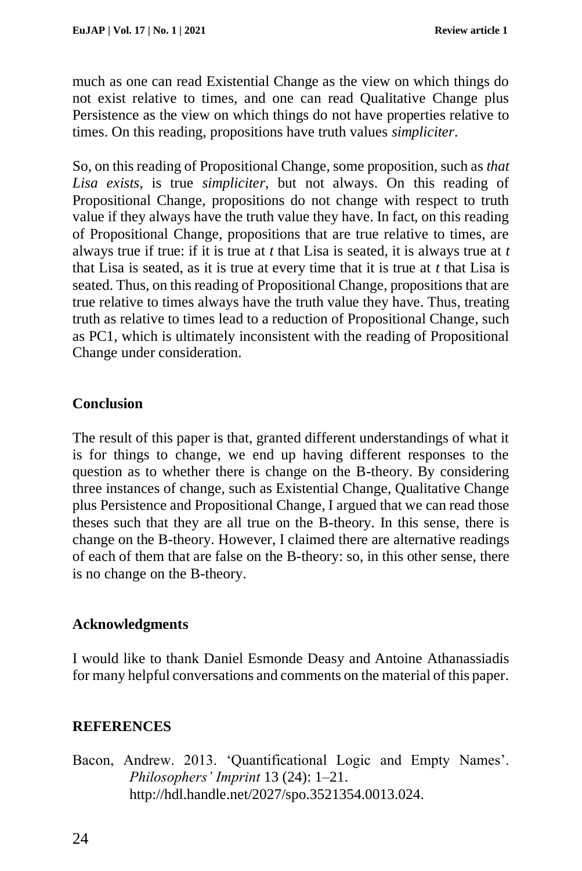much as one can read Existential Change as the view on which things do not exist relative to times, and one can read Qualitative Change plus Persistence as the view on which things do not have properties relative to times. On this reading, propositions have truth values *simpliciter*.

So, on this reading of Propositional Change, some proposition, such as *that Lisa exists*, is true *simpliciter*, but not always. On this reading of Propositional Change, propositions do not change with respect to truth value if they always have the truth value they have. In fact, on this reading of Propositional Change, propositions that are true relative to times, are always true if true: if it is true at *t* that Lisa is seated, it is always true at *t* that Lisa is seated, as it is true at every time that it is true at *t* that Lisa is seated. Thus, on this reading of Propositional Change, propositions that are true relative to times always have the truth value they have. Thus, treating truth as relative to times lead to a reduction of Propositional Change, such as PC1, which is ultimately inconsistent with the reading of Propositional Change under consideration.

## **Conclusion**

The result of this paper is that, granted different understandings of what it is for things to change, we end up having different responses to the question as to whether there is change on the B-theory. By considering three instances of change, such as Existential Change, Qualitative Change plus Persistence and Propositional Change, I argued that we can read those theses such that they are all true on the B-theory. In this sense, there is change on the B-theory. However, I claimed there are alternative readings of each of them that are false on the B-theory: so, in this other sense, there is no change on the B-theory.

### **Acknowledgments**

I would like to thank Daniel Esmonde Deasy and Antoine Athanassiadis for many helpful conversations and comments on the material of this paper.

## **REFERENCES**

Bacon, Andrew. 2013. 'Quantificational Logic and Empty Names'. *Philosophers' Imprint* 13 (24): 1–21. http://hdl.handle.net/2027/spo.3521354.0013.024.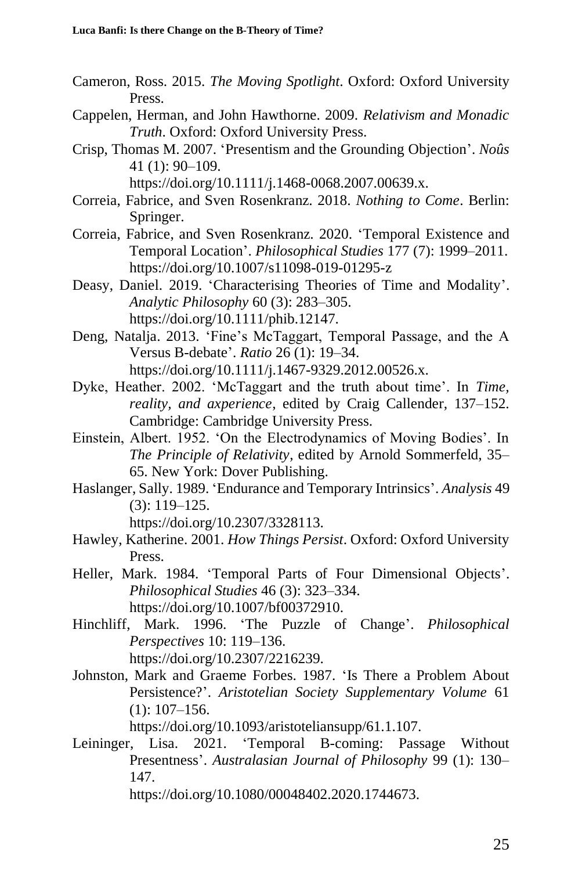- Cameron, Ross. 2015. *The Moving Spotlight*. Oxford: Oxford University Press.
- Cappelen, Herman, and John Hawthorne. 2009. *Relativism and Monadic Truth*. Oxford: Oxford University Press.
- Crisp, Thomas M. 2007. 'Presentism and the Grounding Objection'. *Noûs* 41 (1): 90–109.

https://doi.org/10.1111/j.1468-0068.2007.00639.x.

- Correia, Fabrice, and Sven Rosenkranz. 2018. *Nothing to Come*. Berlin: Springer.
- Correia, Fabrice, and Sven Rosenkranz. 2020. 'Temporal Existence and Temporal Location'. *Philosophical Studies* 177 (7): 1999–2011. https://doi.org/10.1007/s11098-019-01295-z
- Deasy, Daniel. 2019. 'Characterising Theories of Time and Modality'. *Analytic Philosophy* 60 (3): 283–305. https://doi.org/10.1111/phib.12147.
- Deng, Natalja. 2013. 'Fine's McTaggart, Temporal Passage, and the A Versus B-debate'. *Ratio* 26 (1): 19–34. https://doi.org/10.1111/j.1467-9329.2012.00526.x.
- Dyke, Heather. 2002. 'McTaggart and the truth about time'. In *Time, reality, and axperience*, edited by Craig Callender, 137–152. Cambridge: Cambridge University Press.
- Einstein, Albert. 1952. 'On the Electrodynamics of Moving Bodies'. In *The Principle of Relativity*, edited by Arnold Sommerfeld, 35– 65. New York: Dover Publishing.
- Haslanger, Sally. 1989. 'Endurance and Temporary Intrinsics'. *Analysis* 49 (3): 119–125.

https://doi.org/10.2307/3328113.

- Hawley, Katherine. 2001. *How Things Persist*. Oxford: Oxford University Press.
- Heller, Mark. 1984. 'Temporal Parts of Four Dimensional Objects'. *Philosophical Studies* 46 (3): 323–334. https://doi.org/10.1007/bf00372910.
- Hinchliff, Mark. 1996. 'The Puzzle of Change'. *Philosophical Perspectives* 10: 119–136. https://doi.org/10.2307/2216239.
- Johnston, Mark and Graeme Forbes. 1987. 'Is There a Problem About Persistence?'. *Aristotelian Society Supplementary Volume* 61  $(1): 107-156.$

https://doi.org/10.1093/aristoteliansupp/61.1.107.

Leininger, Lisa. 2021. 'Temporal B-coming: Passage Without Presentness'. *Australasian Journal of Philosophy* 99 (1): 130– 147.

https://doi.org/10.1080/00048402.2020.1744673.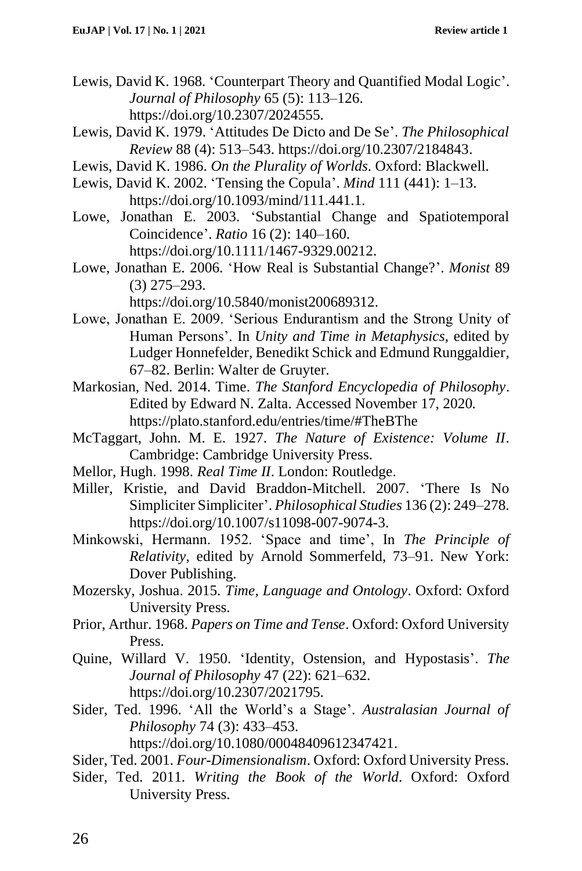- Lewis, David K. 1968. 'Counterpart Theory and Quantified Modal Logic'. *Journal of Philosophy* 65 (5): 113–126. https://doi.org/10.2307/2024555.
- Lewis, David K. 1979. 'Attitudes De Dicto and De Se'. *The Philosophical Review* 88 (4): 513–543. https://doi.org/10.2307/2184843.
- Lewis, David K. 1986. *On the Plurality of Worlds*. Oxford: Blackwell.
- Lewis, David K. 2002. 'Tensing the Copula'. *Mind* 111 (441): 1–13. https://doi.org/10.1093/mind/111.441.1.
- Lowe, Jonathan E. 2003. 'Substantial Change and Spatiotemporal Coincidence'. *Ratio* 16 (2): 140–160. https://doi.org/10.1111/1467-9329.00212.
- Lowe, Jonathan E. 2006. 'How Real is Substantial Change?'. *Monist* 89 (3) 275–293. https://doi.org/10.5840/monist200689312.
- Lowe, Jonathan E. 2009. 'Serious Endurantism and the Strong Unity of Human Persons'. In *Unity and Time in Metaphysics*, edited by Ludger Honnefelder, Benedikt Schick and Edmund Runggaldier*,* 67–82. Berlin: Walter de Gruyter.
- Markosian, Ned. 2014. Time. *The Stanford Encyclopedia of Philosophy*. Edited by Edward N. Zalta. Accessed November 17, 2020. https://plato.stanford.edu/entries/time/#TheBThe
- McTaggart, John. M. E. 1927. *The Nature of Existence: Volume II*. Cambridge: Cambridge University Press.
- Mellor, Hugh. 1998. *Real Time II*. London: Routledge.
- Miller, Kristie, and David Braddon-Mitchell. 2007. 'There Is No Simpliciter Simpliciter'. *Philosophical Studies* 136 (2): 249–278. https://doi.org/10.1007/s11098-007-9074-3.
- Minkowski, Hermann. 1952. 'Space and time', In *The Principle of Relativity*, edited by Arnold Sommerfeld, 73–91. New York: Dover Publishing.
- Mozersky, Joshua. 2015. *Time, Language and Ontology*. Oxford: Oxford University Press.
- Prior, Arthur. 1968. *Papers on Time and Tense*. Oxford: Oxford University Press.
- Quine, Willard V. 1950. 'Identity, Ostension, and Hypostasis'. *The Journal of Philosophy* 47 (22): 621–632. https://doi.org/10.2307/2021795.
- Sider, Ted. 1996. 'All the World's a Stage'. *Australasian Journal of Philosophy* 74 (3): 433–453. https://doi.org/10.1080/00048409612347421.
- Sider, Ted. 2001. *Four-Dimensionalism*. Oxford: Oxford University Press.
- Sider, Ted. 2011. *Writing the Book of the World*. Oxford: Oxford University Press.